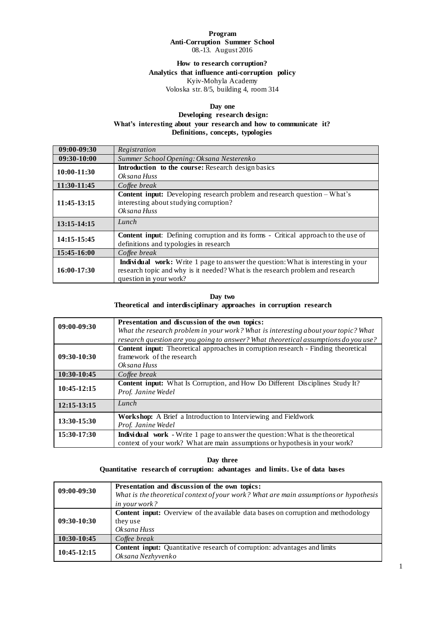#### **Program Anti-Corruption Summer School**  08.-13. August 2016

## **How to research corruption? Analytics that influence anti-corruption policy** Kyiv-Mohyla Academy Voloska str. 8/5, building 4, room 314

## **Day one**

## **Developing research design: What's interesting about your research and how to communicate it? Definitions, concepts, typologies**

| 09:00-09:30 | Registration                                                                                                                                                                                         |
|-------------|------------------------------------------------------------------------------------------------------------------------------------------------------------------------------------------------------|
| 09:30-10:00 | Summer School Opening: Oksana Nesterenko                                                                                                                                                             |
| 10:00-11:30 | Introduction to the course: Research design basics                                                                                                                                                   |
| 11:30-11:45 | Oksana Huss<br>Coffee break                                                                                                                                                                          |
| 11:45-13:15 | Content input: Developing research problem and research question - What's<br>interesting about studying corruption?<br>Oksana Huss                                                                   |
| 13:15-14:15 | Lunch                                                                                                                                                                                                |
| 14:15-15:45 | <b>Content input:</b> Defining corruption and its forms - Critical approach to the use of<br>definitions and typologies in research                                                                  |
| 15:45-16:00 | Coffee break                                                                                                                                                                                         |
| 16:00-17:30 | <b>Individual work:</b> Write 1 page to answer the question: What is interesting in your<br>research topic and why is it needed? What is the research problem and research<br>question in your work? |

#### **Day two Theoretical and interdisciplinary approaches in corruption research**

| $09:00 - 09:30$ | Presentation and discussion of the own topics:<br>What the research problem in your work? What is interesting about your topic? What                                 |
|-----------------|----------------------------------------------------------------------------------------------------------------------------------------------------------------------|
|                 | research question are you going to answer? What theoretical assumptions do you use?                                                                                  |
| 09:30-10:30     | Content input: Theoretical approaches in corruption research - Finding theoretical<br>framework of the research<br>Oksana Huss                                       |
| 10:30-10:45     | Coffee break                                                                                                                                                         |
| $10:45-12:15$   | Content input: What Is Corruption, and How Do Different Disciplines Study It?<br>Prof. Janine Wedel                                                                  |
| 12:15-13:15     | Lunch                                                                                                                                                                |
| 13:30-15:30     | Workshop: A Brief a Introduction to Interviewing and Fieldwork<br>Prof. Janine Wedel                                                                                 |
| 15:30-17:30     | <b>Individual</b> work - Write 1 page to answer the question: What is the theoretical<br>context of your work? What are main assumptions or hypothesis in your work? |

# **Day three Quantitative research of corruption: advantages and limits. Use of data bases**

| 09:00-09:30   | Presentation and discussion of the own topics:                                           |
|---------------|------------------------------------------------------------------------------------------|
|               | What is the theoretical context of your work? What are main assumptions or hypothesis    |
|               | <i>in your work?</i>                                                                     |
|               | <b>Content input:</b> Overview of the available data bases on corruption and methodology |
| 09:30-10:30   | they use                                                                                 |
|               | Oksana Huss                                                                              |
| 10:30-10:45   | Coffee break                                                                             |
| $10:45-12:15$ | <b>Content input:</b> Quantitative research of corruption: advantages and limits         |
|               | Oksana Nezhyvenko                                                                        |